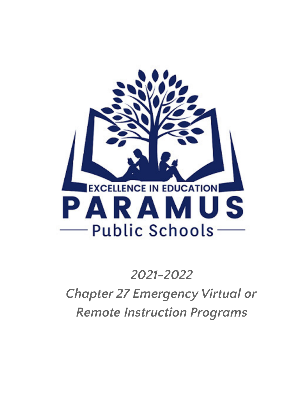

# *2021-2022 Chapter 27 Emergency Virtual or Remote Instruction Programs*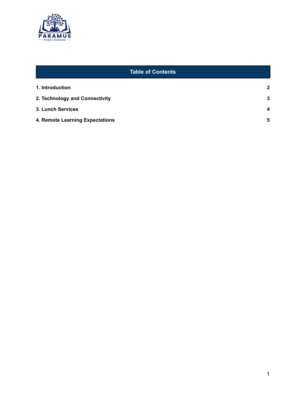

<span id="page-1-0"></span>

| <b>Table of Contents</b>        |                         |
|---------------------------------|-------------------------|
| 1. Introduction                 | $\mathbf{2}$            |
| 2. Technology and Connectivity  | 3                       |
| 3. Lunch Services               | $\overline{\mathbf{4}}$ |
| 4. Remote Learning Expectations | 5                       |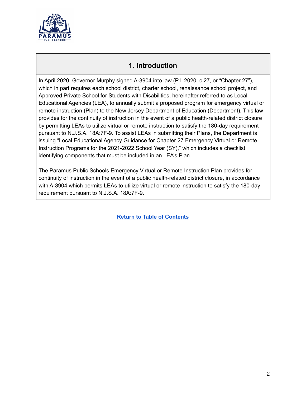

#### **1. Introduction**

<span id="page-2-0"></span>In April 2020, Governor Murphy signed A-3904 into law (P.L.2020, c.27, or "Chapter 27"), which in part requires each school district, charter school, renaissance school project, and Approved Private School for Students with Disabilities, hereinafter referred to as Local Educational Agencies (LEA), to annually submit a proposed program for emergency virtual or remote instruction (Plan) to the New Jersey Department of Education (Department). This law provides for the continuity of instruction in the event of a public health-related district closure by permitting LEAs to utilize virtual or remote instruction to satisfy the 180-day requirement pursuant to N.J.S.A. 18A:7F-9. To assist LEAs in submitting their Plans, the Department is issuing "Local Educational Agency Guidance for Chapter 27 Emergency Virtual or Remote Instruction Programs for the 2021-2022 School Year (SY)," which includes a checklist identifying components that must be included in an LEA's Plan.

The Paramus Public Schools Emergency Virtual or Remote Instruction Plan provides for continuity of instruction in the event of a public health-related district closure, in accordance with A-3904 which permits LEAs to utilize virtual or remote instruction to satisfy the 180-day requirement pursuant to N.J.S.A. 18A:7F-9.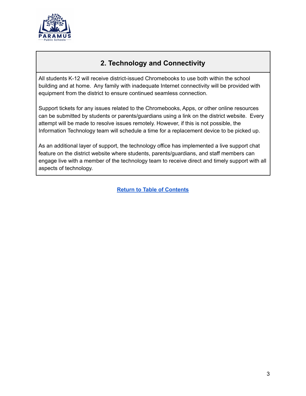

# **2. Technology and Connectivity**

<span id="page-3-0"></span>All students K-12 will receive district-issued Chromebooks to use both within the school building and at home. Any family with inadequate Internet connectivity will be provided with equipment from the district to ensure continued seamless connection.

Support tickets for any issues related to the Chromebooks, Apps, or other online resources can be submitted by students or parents/guardians using a link on the district website. Every attempt will be made to resolve issues remotely. However, if this is not possible, the Information Technology team will schedule a time for a replacement device to be picked up.

As an additional layer of support, the technology office has implemented a live support chat feature on the district website where students, parents/guardians, and staff members can engage live with a member of the technology team to receive direct and timely support with all aspects of technology.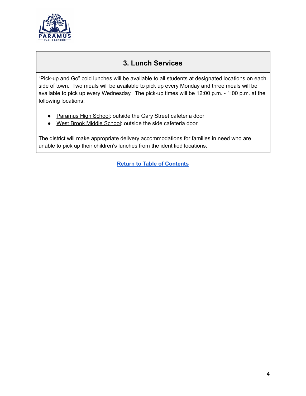

## **3. Lunch Services**

<span id="page-4-0"></span>"Pick-up and Go" cold lunches will be available to all students at designated locations on each side of town. Two meals will be available to pick up every Monday and three meals will be available to pick up every Wednesday. The pick-up times will be 12:00 p.m. - 1:00 p.m. at the following locations:

- Paramus High School: outside the Gary Street cafeteria door
- West Brook Middle School: outside the side cafeteria door

The district will make appropriate delivery accommodations for families in need who are unable to pick up their children's lunches from the identified locations.